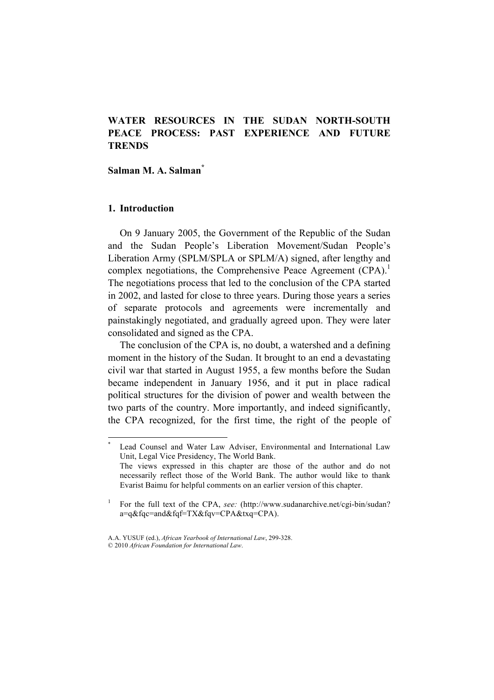# **WATER RESOURCES IN THE SUDAN NORTH-SOUTH PEACE PROCESS: PAST EXPERIENCE AND FUTURE TRENDS**

## **Salman M. A. Salman\***

### **1. Introduction**

On 9 January 2005, the Government of the Republic of the Sudan and the Sudan People's Liberation Movement/Sudan People's Liberation Army (SPLM/SPLA or SPLM/A) signed, after lengthy and complex negotiations, the Comprehensive Peace Agreement (CPA).<sup>1</sup> The negotiations process that led to the conclusion of the CPA started in 2002, and lasted for close to three years. During those years a series of separate protocols and agreements were incrementally and painstakingly negotiated, and gradually agreed upon. They were later consolidated and signed as the CPA.

The conclusion of the CPA is, no doubt, a watershed and a defining moment in the history of the Sudan. It brought to an end a devastating civil war that started in August 1955, a few months before the Sudan became independent in January 1956, and it put in place radical political structures for the division of power and wealth between the two parts of the country. More importantly, and indeed significantly, the CPA recognized, for the first time, the right of the people of

Lead Counsel and Water Law Adviser, Environmental and International Law Unit, Legal Vice Presidency, The World Bank. The views expressed in this chapter are those of the author and do not necessarily reflect those of the World Bank. The author would like to thank Evarist Baimu for helpful comments on an earlier version of this chapter.

<sup>1</sup> For the full text of the CPA, *see:* (http://www.sudanarchive.net/cgi-bin/sudan? a=q&fqc=and&fqf=TX&fqv=CPA&txq=CPA).

A.A. YUSUF (ed.), *African Yearbook of International Law*, 299-328. © 2010 *African Foundation for International Law*.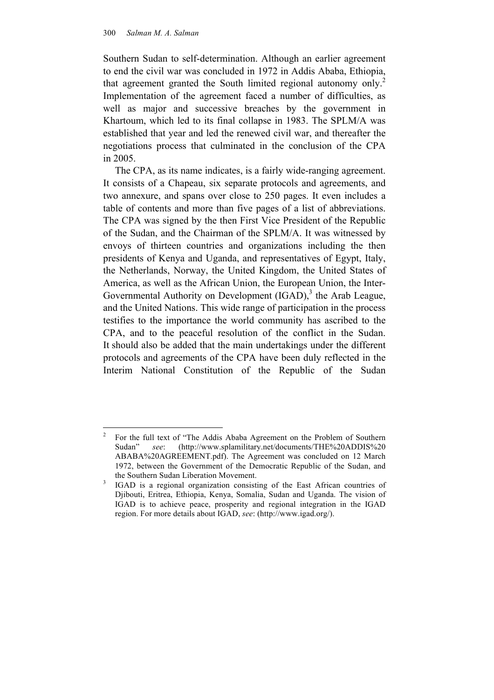Southern Sudan to self-determination. Although an earlier agreement to end the civil war was concluded in 1972 in Addis Ababa, Ethiopia, that agreement granted the South limited regional autonomy only.<sup>2</sup> Implementation of the agreement faced a number of difficulties, as well as major and successive breaches by the government in Khartoum, which led to its final collapse in 1983. The SPLM/A was established that year and led the renewed civil war, and thereafter the negotiations process that culminated in the conclusion of the CPA in 2005.

The CPA, as its name indicates, is a fairly wide-ranging agreement. It consists of a Chapeau, six separate protocols and agreements, and two annexure, and spans over close to 250 pages. It even includes a table of contents and more than five pages of a list of abbreviations. The CPA was signed by the then First Vice President of the Republic of the Sudan, and the Chairman of the SPLM/A. It was witnessed by envoys of thirteen countries and organizations including the then presidents of Kenya and Uganda, and representatives of Egypt, Italy, the Netherlands, Norway, the United Kingdom, the United States of America, as well as the African Union, the European Union, the Inter-Governmental Authority on Development  $(IGAD)$ ,<sup>3</sup> the Arab League, and the United Nations. This wide range of participation in the process testifies to the importance the world community has ascribed to the CPA, and to the peaceful resolution of the conflict in the Sudan. It should also be added that the main undertakings under the different protocols and agreements of the CPA have been duly reflected in the Interim National Constitution of the Republic of the Sudan

<sup>&</sup>lt;sup>2</sup> For the full text of "The Addis Ababa Agreement on the Problem of Southern Sudan" *see*: (http://www.splamilitary.net/documents/THE%20ADDIS%20 ABABA%20AGREEMENT.pdf). The Agreement was concluded on 12 March 1972, between the Government of the Democratic Republic of the Sudan, and

the Southern Sudan Liberation Movement.<br>3 IGAD is a regional organization consisting of the East African countries of Djibouti, Eritrea, Ethiopia, Kenya, Somalia, Sudan and Uganda. The vision of IGAD is to achieve peace, prosperity and regional integration in the IGAD region. For more details about IGAD, *see*: (http://www.igad.org/).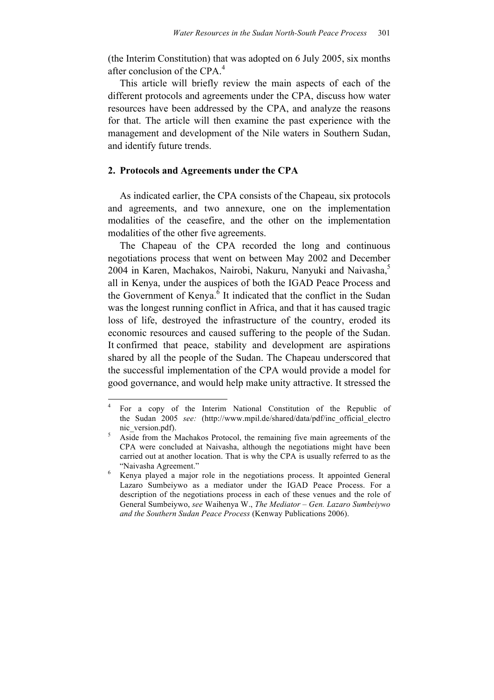(the Interim Constitution) that was adopted on 6 July 2005, six months after conclusion of the CPA.<sup>4</sup>

This article will briefly review the main aspects of each of the different protocols and agreements under the CPA, discuss how water resources have been addressed by the CPA, and analyze the reasons for that. The article will then examine the past experience with the management and development of the Nile waters in Southern Sudan, and identify future trends.

## **2. Protocols and Agreements under the CPA**

As indicated earlier, the CPA consists of the Chapeau, six protocols and agreements, and two annexure, one on the implementation modalities of the ceasefire, and the other on the implementation modalities of the other five agreements.

The Chapeau of the CPA recorded the long and continuous negotiations process that went on between May 2002 and December 2004 in Karen, Machakos, Nairobi, Nakuru, Nanyuki and Naivasha,<sup>5</sup> all in Kenya, under the auspices of both the IGAD Peace Process and the Government of Kenya.<sup>6</sup> It indicated that the conflict in the Sudan was the longest running conflict in Africa, and that it has caused tragic loss of life, destroyed the infrastructure of the country, eroded its economic resources and caused suffering to the people of the Sudan. It confirmed that peace, stability and development are aspirations shared by all the people of the Sudan. The Chapeau underscored that the successful implementation of the CPA would provide a model for good governance, and would help make unity attractive. It stressed the

 <sup>4</sup> For a copy of the Interim National Constitution of the Republic of the Sudan 2005 *see:* (http://www.mpil.de/shared/data/pdf/inc\_official\_electro

nic\_version.pdf).<br>Aside from the Machakos Protocol, the remaining five main agreements of the CPA were concluded at Naivasha, although the negotiations might have been carried out at another location. That is why the CPA is usually referred to as the

<sup>&</sup>quot;Naivasha Agreement." <sup>6</sup> Kenya played a major role in the negotiations process. It appointed General Lazaro Sumbeiywo as a mediator under the IGAD Peace Process. For a description of the negotiations process in each of these venues and the role of General Sumbeiywo, *see* Waihenya W., *The Mediator – Gen. Lazaro Sumbeiywo and the Southern Sudan Peace Process* (Kenway Publications 2006).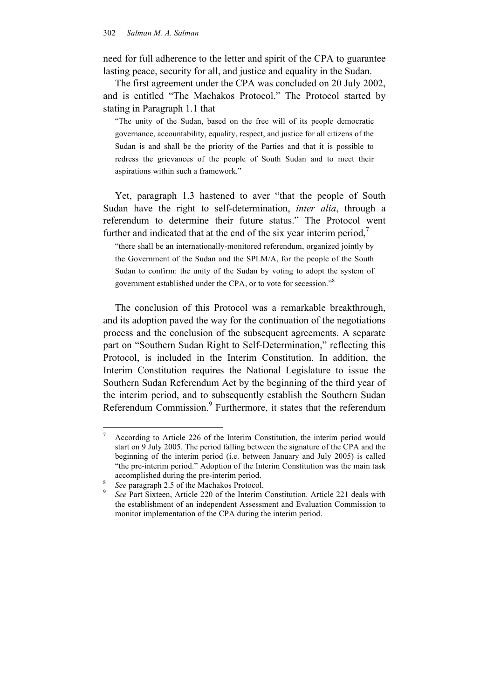need for full adherence to the letter and spirit of the CPA to guarantee lasting peace, security for all, and justice and equality in the Sudan.

The first agreement under the CPA was concluded on 20 July 2002, and is entitled "The Machakos Protocol." The Protocol started by stating in Paragraph 1.1 that

"The unity of the Sudan, based on the free will of its people democratic governance, accountability, equality, respect, and justice for all citizens of the Sudan is and shall be the priority of the Parties and that it is possible to redress the grievances of the people of South Sudan and to meet their aspirations within such a framework."

Yet, paragraph 1.3 hastened to aver "that the people of South Sudan have the right to self-determination, *inter alia*, through a referendum to determine their future status." The Protocol went further and indicated that at the end of the six year interim period, $\frac{7}{1}$ 

"there shall be an internationally-monitored referendum, organized jointly by the Government of the Sudan and the SPLM/A, for the people of the South Sudan to confirm: the unity of the Sudan by voting to adopt the system of government established under the CPA, or to vote for secession."<sup>8</sup>

The conclusion of this Protocol was a remarkable breakthrough, and its adoption paved the way for the continuation of the negotiations process and the conclusion of the subsequent agreements. A separate part on "Southern Sudan Right to Self-Determination," reflecting this Protocol, is included in the Interim Constitution. In addition, the Interim Constitution requires the National Legislature to issue the Southern Sudan Referendum Act by the beginning of the third year of the interim period, and to subsequently establish the Southern Sudan Referendum Commission.<sup>9</sup> Furthermore, it states that the referendum

 $7$  According to Article 226 of the Interim Constitution, the interim period would start on 9 July 2005. The period falling between the signature of the CPA and the beginning of the interim period (i.e. between January and July 2005) is called "the pre-interim period." Adoption of the Interim Constitution was the main task

accomplished during the pre-interim period.<br> *See* paragraph 2.5 of the Machakos Protocol.<br> *See* Part Sixteen, Article 220 of the Interim Constitution. Article 221 deals with the establishment of an independent Assessment and Evaluation Commission to monitor implementation of the CPA during the interim period.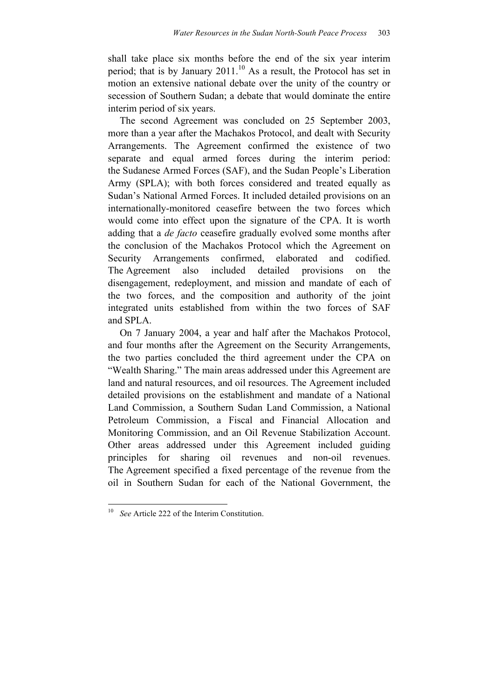shall take place six months before the end of the six year interim period; that is by January  $2011$ .<sup>10</sup> As a result, the Protocol has set in motion an extensive national debate over the unity of the country or secession of Southern Sudan; a debate that would dominate the entire interim period of six years.

The second Agreement was concluded on 25 September 2003, more than a year after the Machakos Protocol, and dealt with Security Arrangements. The Agreement confirmed the existence of two separate and equal armed forces during the interim period: the Sudanese Armed Forces (SAF), and the Sudan People's Liberation Army (SPLA); with both forces considered and treated equally as Sudan's National Armed Forces. It included detailed provisions on an internationally-monitored ceasefire between the two forces which would come into effect upon the signature of the CPA. It is worth adding that a *de facto* ceasefire gradually evolved some months after the conclusion of the Machakos Protocol which the Agreement on Security Arrangements confirmed, elaborated and codified. The Agreement also included detailed provisions on the disengagement, redeployment, and mission and mandate of each of the two forces, and the composition and authority of the joint integrated units established from within the two forces of SAF and SPLA.

On 7 January 2004, a year and half after the Machakos Protocol, and four months after the Agreement on the Security Arrangements, the two parties concluded the third agreement under the CPA on "Wealth Sharing." The main areas addressed under this Agreement are land and natural resources, and oil resources. The Agreement included detailed provisions on the establishment and mandate of a National Land Commission, a Southern Sudan Land Commission, a National Petroleum Commission, a Fiscal and Financial Allocation and Monitoring Commission, and an Oil Revenue Stabilization Account. Other areas addressed under this Agreement included guiding principles for sharing oil revenues and non-oil revenues. The Agreement specified a fixed percentage of the revenue from the oil in Southern Sudan for each of the National Government, the

 <sup>10</sup> *See* Article 222 of the Interim Constitution.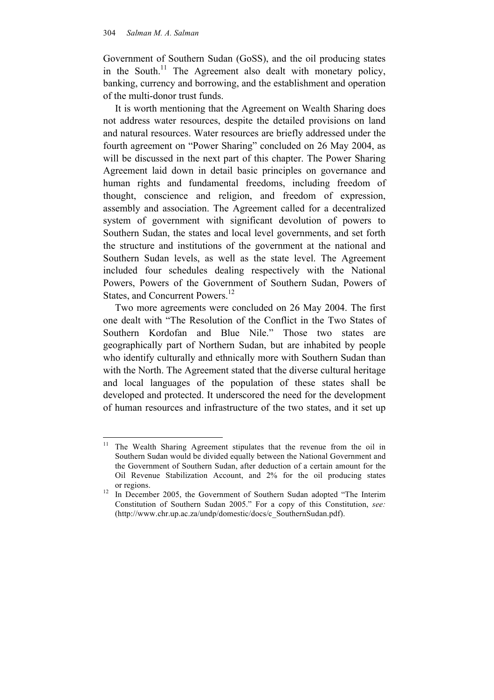Government of Southern Sudan (GoSS), and the oil producing states in the South.<sup>11</sup> The Agreement also dealt with monetary policy, banking, currency and borrowing, and the establishment and operation of the multi-donor trust funds.

It is worth mentioning that the Agreement on Wealth Sharing does not address water resources, despite the detailed provisions on land and natural resources. Water resources are briefly addressed under the fourth agreement on "Power Sharing" concluded on 26 May 2004, as will be discussed in the next part of this chapter. The Power Sharing Agreement laid down in detail basic principles on governance and human rights and fundamental freedoms, including freedom of thought, conscience and religion, and freedom of expression, assembly and association. The Agreement called for a decentralized system of government with significant devolution of powers to Southern Sudan, the states and local level governments, and set forth the structure and institutions of the government at the national and Southern Sudan levels, as well as the state level. The Agreement included four schedules dealing respectively with the National Powers, Powers of the Government of Southern Sudan, Powers of States, and Concurrent Powers.<sup>12</sup>

Two more agreements were concluded on 26 May 2004. The first one dealt with "The Resolution of the Conflict in the Two States of Southern Kordofan and Blue Nile." Those two states are geographically part of Northern Sudan, but are inhabited by people who identify culturally and ethnically more with Southern Sudan than with the North. The Agreement stated that the diverse cultural heritage and local languages of the population of these states shall be developed and protected. It underscored the need for the development of human resources and infrastructure of the two states, and it set up

<sup>&</sup>lt;sup>11</sup> The Wealth Sharing Agreement stipulates that the revenue from the oil in Southern Sudan would be divided equally between the National Government and the Government of Southern Sudan, after deduction of a certain amount for the Oil Revenue Stabilization Account, and 2% for the oil producing states

or regions.<br><sup>12</sup> In December 2005, the Government of Southern Sudan adopted "The Interim Constitution of Southern Sudan 2005." For a copy of this Constitution, *see:* (http://www.chr.up.ac.za/undp/domestic/docs/c\_SouthernSudan.pdf).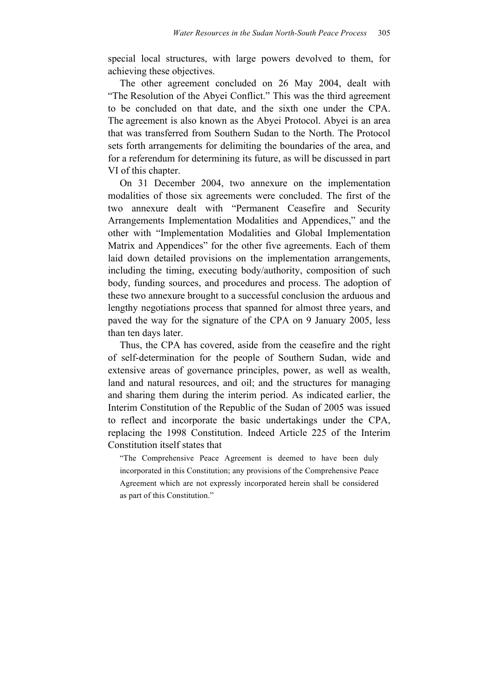special local structures, with large powers devolved to them, for achieving these objectives.

The other agreement concluded on 26 May 2004, dealt with "The Resolution of the Abyei Conflict." This was the third agreement to be concluded on that date, and the sixth one under the CPA. The agreement is also known as the Abyei Protocol. Abyei is an area that was transferred from Southern Sudan to the North. The Protocol sets forth arrangements for delimiting the boundaries of the area, and for a referendum for determining its future, as will be discussed in part VI of this chapter.

On 31 December 2004, two annexure on the implementation modalities of those six agreements were concluded. The first of the two annexure dealt with "Permanent Ceasefire and Security Arrangements Implementation Modalities and Appendices," and the other with "Implementation Modalities and Global Implementation Matrix and Appendices" for the other five agreements. Each of them laid down detailed provisions on the implementation arrangements, including the timing, executing body/authority, composition of such body, funding sources, and procedures and process. The adoption of these two annexure brought to a successful conclusion the arduous and lengthy negotiations process that spanned for almost three years, and paved the way for the signature of the CPA on 9 January 2005, less than ten days later.

Thus, the CPA has covered, aside from the ceasefire and the right of self-determination for the people of Southern Sudan, wide and extensive areas of governance principles, power, as well as wealth, land and natural resources, and oil; and the structures for managing and sharing them during the interim period. As indicated earlier, the Interim Constitution of the Republic of the Sudan of 2005 was issued to reflect and incorporate the basic undertakings under the CPA, replacing the 1998 Constitution. Indeed Article 225 of the Interim Constitution itself states that

"The Comprehensive Peace Agreement is deemed to have been duly incorporated in this Constitution; any provisions of the Comprehensive Peace Agreement which are not expressly incorporated herein shall be considered as part of this Constitution."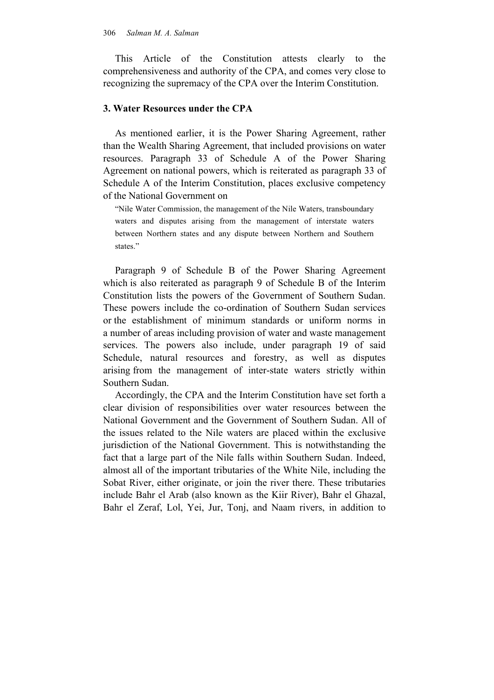#### 306 *Salman M. A. Salman*

This Article of the Constitution attests clearly to the comprehensiveness and authority of the CPA, and comes very close to recognizing the supremacy of the CPA over the Interim Constitution.

### **3. Water Resources under the CPA**

As mentioned earlier, it is the Power Sharing Agreement, rather than the Wealth Sharing Agreement, that included provisions on water resources. Paragraph 33 of Schedule A of the Power Sharing Agreement on national powers, which is reiterated as paragraph 33 of Schedule A of the Interim Constitution, places exclusive competency of the National Government on

"Nile Water Commission, the management of the Nile Waters, transboundary waters and disputes arising from the management of interstate waters between Northern states and any dispute between Northern and Southern states."

Paragraph 9 of Schedule B of the Power Sharing Agreement which is also reiterated as paragraph 9 of Schedule B of the Interim Constitution lists the powers of the Government of Southern Sudan. These powers include the co-ordination of Southern Sudan services or the establishment of minimum standards or uniform norms in a number of areas including provision of water and waste management services. The powers also include, under paragraph 19 of said Schedule, natural resources and forestry, as well as disputes arising from the management of inter-state waters strictly within Southern Sudan.

Accordingly, the CPA and the Interim Constitution have set forth a clear division of responsibilities over water resources between the National Government and the Government of Southern Sudan. All of the issues related to the Nile waters are placed within the exclusive jurisdiction of the National Government. This is notwithstanding the fact that a large part of the Nile falls within Southern Sudan. Indeed, almost all of the important tributaries of the White Nile, including the Sobat River, either originate, or join the river there. These tributaries include Bahr el Arab (also known as the Kiir River), Bahr el Ghazal, Bahr el Zeraf, Lol, Yei, Jur, Tonj, and Naam rivers, in addition to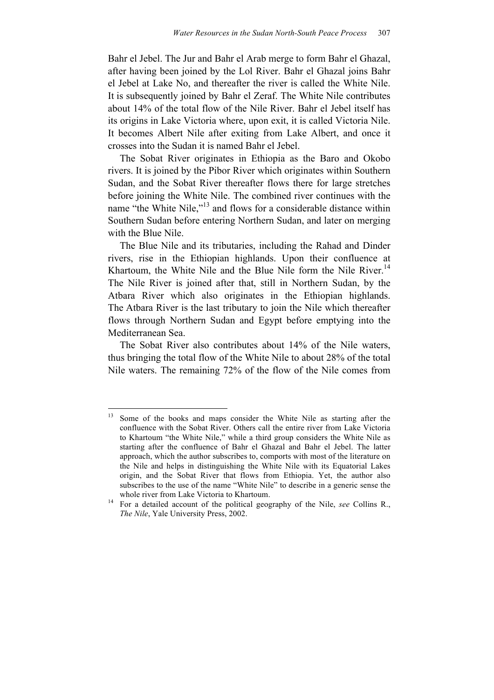Bahr el Jebel. The Jur and Bahr el Arab merge to form Bahr el Ghazal, after having been joined by the Lol River. Bahr el Ghazal joins Bahr el Jebel at Lake No, and thereafter the river is called the White Nile. It is subsequently joined by Bahr el Zeraf. The White Nile contributes about 14% of the total flow of the Nile River. Bahr el Jebel itself has its origins in Lake Victoria where, upon exit, it is called Victoria Nile. It becomes Albert Nile after exiting from Lake Albert, and once it crosses into the Sudan it is named Bahr el Jebel.

The Sobat River originates in Ethiopia as the Baro and Okobo rivers. It is joined by the Pibor River which originates within Southern Sudan, and the Sobat River thereafter flows there for large stretches before joining the White Nile. The combined river continues with the name "the White Nile,"<sup>13</sup> and flows for a considerable distance within Southern Sudan before entering Northern Sudan, and later on merging with the Blue Nile.

The Blue Nile and its tributaries, including the Rahad and Dinder rivers, rise in the Ethiopian highlands. Upon their confluence at Khartoum, the White Nile and the Blue Nile form the Nile River.<sup>14</sup> The Nile River is joined after that, still in Northern Sudan, by the Atbara River which also originates in the Ethiopian highlands. The Atbara River is the last tributary to join the Nile which thereafter flows through Northern Sudan and Egypt before emptying into the Mediterranean Sea.

The Sobat River also contributes about 14% of the Nile waters, thus bringing the total flow of the White Nile to about 28% of the total Nile waters. The remaining 72% of the flow of the Nile comes from

<sup>&</sup>lt;sup>13</sup> Some of the books and maps consider the White Nile as starting after the confluence with the Sobat River. Others call the entire river from Lake Victoria to Khartoum "the White Nile," while a third group considers the White Nile as starting after the confluence of Bahr el Ghazal and Bahr el Jebel. The latter approach, which the author subscribes to, comports with most of the literature on the Nile and helps in distinguishing the White Nile with its Equatorial Lakes origin, and the Sobat River that flows from Ethiopia. Yet, the author also subscribes to the use of the name "White Nile" to describe in a generic sense the

whole river from Lake Victoria to Khartoum.<br><sup>14</sup> For a detailed account of the political geography of the Nile, *see* Collins R., *The Nile*, Yale University Press, 2002.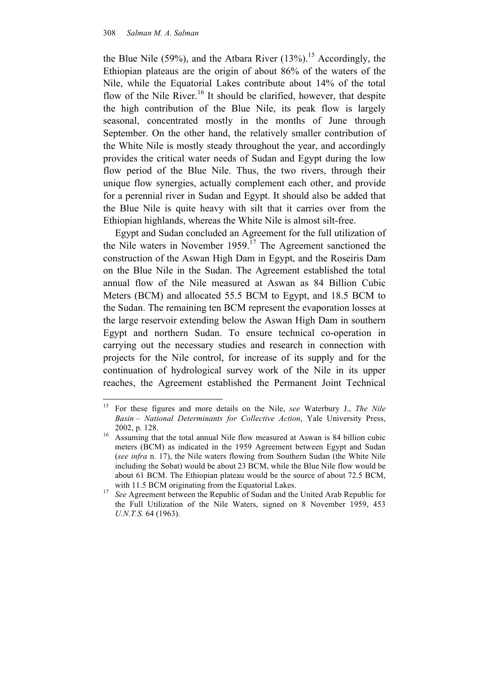the Blue Nile (59%), and the Atbara River  $(13\%)$ .<sup>15</sup> Accordingly, the Ethiopian plateaus are the origin of about 86% of the waters of the Nile, while the Equatorial Lakes contribute about 14% of the total flow of the Nile River.<sup>16</sup> It should be clarified, however, that despite the high contribution of the Blue Nile, its peak flow is largely seasonal, concentrated mostly in the months of June through September. On the other hand, the relatively smaller contribution of the White Nile is mostly steady throughout the year, and accordingly provides the critical water needs of Sudan and Egypt during the low flow period of the Blue Nile. Thus, the two rivers, through their unique flow synergies, actually complement each other, and provide for a perennial river in Sudan and Egypt. It should also be added that the Blue Nile is quite heavy with silt that it carries over from the Ethiopian highlands, whereas the White Nile is almost silt-free.

Egypt and Sudan concluded an Agreement for the full utilization of the Nile waters in November 1959.17 The Agreement sanctioned the construction of the Aswan High Dam in Egypt, and the Roseiris Dam on the Blue Nile in the Sudan. The Agreement established the total annual flow of the Nile measured at Aswan as 84 Billion Cubic Meters (BCM) and allocated 55.5 BCM to Egypt, and 18.5 BCM to the Sudan. The remaining ten BCM represent the evaporation losses at the large reservoir extending below the Aswan High Dam in southern Egypt and northern Sudan. To ensure technical co-operation in carrying out the necessary studies and research in connection with projects for the Nile control, for increase of its supply and for the continuation of hydrological survey work of the Nile in its upper reaches, the Agreement established the Permanent Joint Technical

 <sup>15</sup> For these figures and more details on the Nile, *see* Waterbury J., *The Nile Basin – National Determinants for Collective Action*, Yale University Press,

<sup>2002,</sup> p. 128.<br><sup>16</sup> Assuming that the total annual Nile flow measured at Aswan is 84 billion cubic meters (BCM) as indicated in the 1959 Agreement between Egypt and Sudan (*see infra* n. 17), the Nile waters flowing from Southern Sudan (the White Nile including the Sobat) would be about 23 BCM, while the Blue Nile flow would be about 61 BCM. The Ethiopian plateau would be the source of about 72.5 BCM,

with 11.5 BCM originating from the Equatorial Lakes.<br><sup>17</sup> *See* Agreement between the Republic of Sudan and the United Arab Republic for the Full Utilization of the Nile Waters, signed on 8 November 1959, 453 *U.N.T.S.* 64 (1963).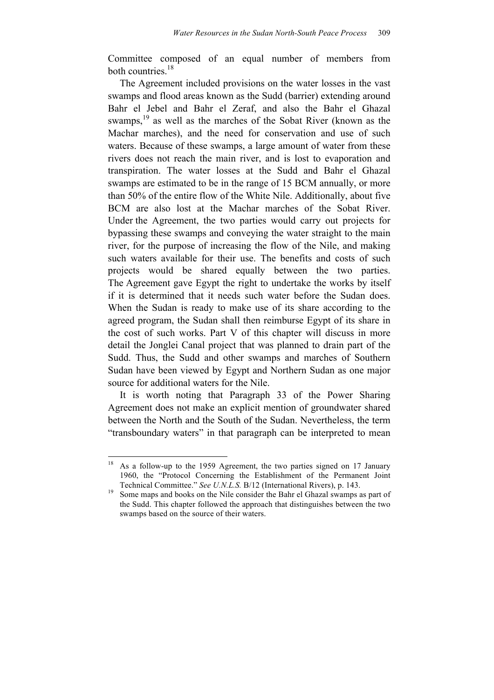Committee composed of an equal number of members from both countries.<sup>18</sup>

The Agreement included provisions on the water losses in the vast swamps and flood areas known as the Sudd (barrier) extending around Bahr el Jebel and Bahr el Zeraf, and also the Bahr el Ghazal swamps,<sup>19</sup> as well as the marches of the Sobat River (known as the Machar marches), and the need for conservation and use of such waters. Because of these swamps, a large amount of water from these rivers does not reach the main river, and is lost to evaporation and transpiration. The water losses at the Sudd and Bahr el Ghazal swamps are estimated to be in the range of 15 BCM annually, or more than 50% of the entire flow of the White Nile. Additionally, about five BCM are also lost at the Machar marches of the Sobat River. Under the Agreement, the two parties would carry out projects for bypassing these swamps and conveying the water straight to the main river, for the purpose of increasing the flow of the Nile, and making such waters available for their use. The benefits and costs of such projects would be shared equally between the two parties. The Agreement gave Egypt the right to undertake the works by itself if it is determined that it needs such water before the Sudan does. When the Sudan is ready to make use of its share according to the agreed program, the Sudan shall then reimburse Egypt of its share in the cost of such works. Part V of this chapter will discuss in more detail the Jonglei Canal project that was planned to drain part of the Sudd. Thus, the Sudd and other swamps and marches of Southern Sudan have been viewed by Egypt and Northern Sudan as one major source for additional waters for the Nile.

It is worth noting that Paragraph 33 of the Power Sharing Agreement does not make an explicit mention of groundwater shared between the North and the South of the Sudan. Nevertheless, the term "transboundary waters" in that paragraph can be interpreted to mean

<sup>&</sup>lt;sup>18</sup> As a follow-up to the 1959 Agreement, the two parties signed on 17 January 1960, the "Protocol Concerning the Establishment of the Permanent Joint

Technical Committee." *See U.N.L.S.* B/12 (International Rivers), p. 143. <sup>19</sup> Some maps and books on the Nile consider the Bahr el Ghazal swamps as part of the Sudd. This chapter followed the approach that distinguishes between the two swamps based on the source of their waters.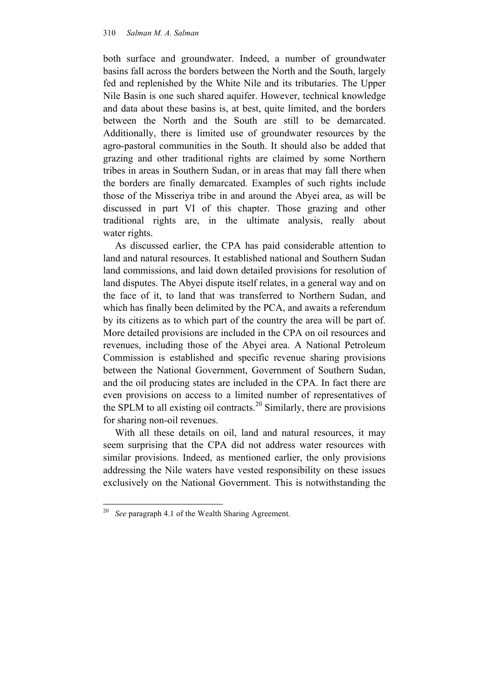both surface and groundwater. Indeed, a number of groundwater basins fall across the borders between the North and the South, largely fed and replenished by the White Nile and its tributaries. The Upper Nile Basin is one such shared aquifer. However, technical knowledge and data about these basins is, at best, quite limited, and the borders between the North and the South are still to be demarcated. Additionally, there is limited use of groundwater resources by the agro-pastoral communities in the South. It should also be added that grazing and other traditional rights are claimed by some Northern tribes in areas in Southern Sudan, or in areas that may fall there when the borders are finally demarcated. Examples of such rights include those of the Misseriya tribe in and around the Abyei area, as will be discussed in part VI of this chapter. Those grazing and other traditional rights are, in the ultimate analysis, really about water rights.

As discussed earlier, the CPA has paid considerable attention to land and natural resources. It established national and Southern Sudan land commissions, and laid down detailed provisions for resolution of land disputes. The Abyei dispute itself relates, in a general way and on the face of it, to land that was transferred to Northern Sudan, and which has finally been delimited by the PCA, and awaits a referendum by its citizens as to which part of the country the area will be part of. More detailed provisions are included in the CPA on oil resources and revenues, including those of the Abyei area. A National Petroleum Commission is established and specific revenue sharing provisions between the National Government, Government of Southern Sudan, and the oil producing states are included in the CPA. In fact there are even provisions on access to a limited number of representatives of the SPLM to all existing oil contracts.<sup>20</sup> Similarly, there are provisions for sharing non-oil revenues.

With all these details on oil, land and natural resources, it may seem surprising that the CPA did not address water resources with similar provisions. Indeed, as mentioned earlier, the only provisions addressing the Nile waters have vested responsibility on these issues exclusively on the National Government. This is notwithstanding the

 <sup>20</sup> *See* paragraph 4.1 of the Wealth Sharing Agreement.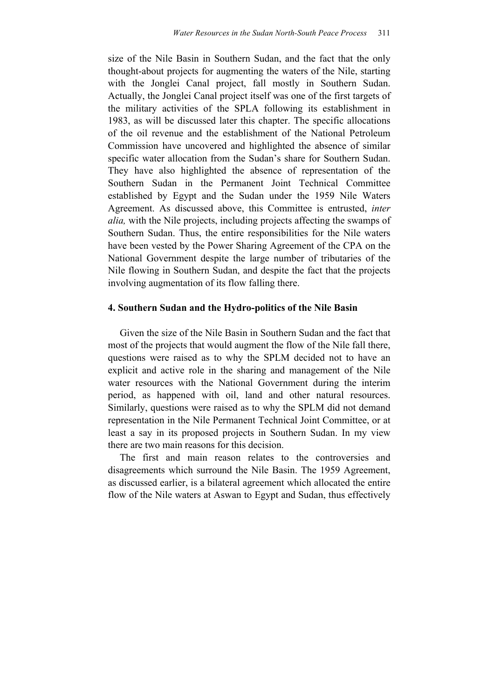size of the Nile Basin in Southern Sudan, and the fact that the only thought-about projects for augmenting the waters of the Nile, starting with the Jonglei Canal project, fall mostly in Southern Sudan. Actually, the Jonglei Canal project itself was one of the first targets of the military activities of the SPLA following its establishment in 1983, as will be discussed later this chapter. The specific allocations of the oil revenue and the establishment of the National Petroleum Commission have uncovered and highlighted the absence of similar specific water allocation from the Sudan's share for Southern Sudan. They have also highlighted the absence of representation of the Southern Sudan in the Permanent Joint Technical Committee established by Egypt and the Sudan under the 1959 Nile Waters Agreement. As discussed above, this Committee is entrusted, *inter alia,* with the Nile projects, including projects affecting the swamps of Southern Sudan. Thus, the entire responsibilities for the Nile waters have been vested by the Power Sharing Agreement of the CPA on the National Government despite the large number of tributaries of the Nile flowing in Southern Sudan, and despite the fact that the projects involving augmentation of its flow falling there.

#### **4. Southern Sudan and the Hydro-politics of the Nile Basin**

Given the size of the Nile Basin in Southern Sudan and the fact that most of the projects that would augment the flow of the Nile fall there, questions were raised as to why the SPLM decided not to have an explicit and active role in the sharing and management of the Nile water resources with the National Government during the interim period, as happened with oil, land and other natural resources. Similarly, questions were raised as to why the SPLM did not demand representation in the Nile Permanent Technical Joint Committee, or at least a say in its proposed projects in Southern Sudan. In my view there are two main reasons for this decision.

The first and main reason relates to the controversies and disagreements which surround the Nile Basin. The 1959 Agreement, as discussed earlier, is a bilateral agreement which allocated the entire flow of the Nile waters at Aswan to Egypt and Sudan, thus effectively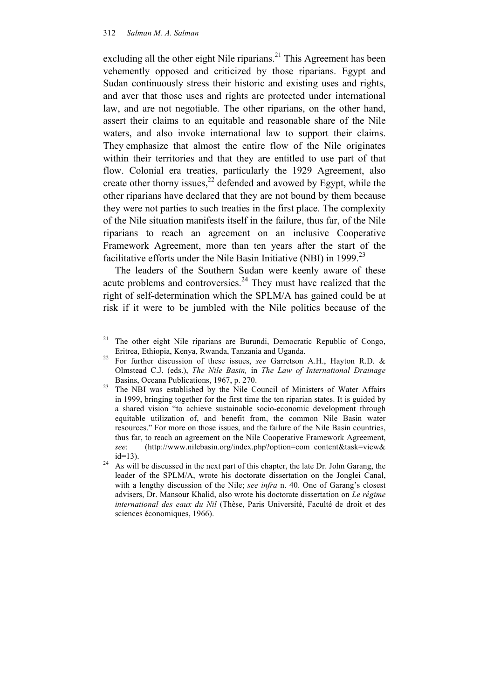excluding all the other eight Nile riparians.<sup>21</sup> This Agreement has been vehemently opposed and criticized by those riparians. Egypt and Sudan continuously stress their historic and existing uses and rights, and aver that those uses and rights are protected under international law, and are not negotiable. The other riparians, on the other hand, assert their claims to an equitable and reasonable share of the Nile waters, and also invoke international law to support their claims. They emphasize that almost the entire flow of the Nile originates within their territories and that they are entitled to use part of that flow. Colonial era treaties, particularly the 1929 Agreement, also create other thorny issues, $^{22}$  defended and avowed by Egypt, while the other riparians have declared that they are not bound by them because they were not parties to such treaties in the first place. The complexity of the Nile situation manifests itself in the failure, thus far, of the Nile riparians to reach an agreement on an inclusive Cooperative Framework Agreement, more than ten years after the start of the facilitative efforts under the Nile Basin Initiative (NBI) in 1999.<sup>23</sup>

The leaders of the Southern Sudan were keenly aware of these acute problems and controversies.<sup>24</sup> They must have realized that the right of self-determination which the SPLM/A has gained could be at risk if it were to be jumbled with the Nile politics because of the

<sup>&</sup>lt;sup>21</sup> The other eight Nile riparians are Burundi, Democratic Republic of Congo,

Eritrea, Ethiopia, Kenya, Rwanda, Tanzania and Uganda. <sup>22</sup> For further discussion of these issues, *see* Garretson A.H., Hayton R.D. & Olmstead C.J. (eds.), *The Nile Basin,* in *The Law of International Drainage*  Basins, Oceana Publications, 1967, p. 270.<br>The NBI was established by the Nile Council of Ministers of Water Affairs

in 1999, bringing together for the first time the ten riparian states. It is guided by a shared vision "to achieve sustainable socio-economic development through equitable utilization of, and benefit from, the common Nile Basin water resources." For more on those issues, and the failure of the Nile Basin countries, thus far, to reach an agreement on the Nile Cooperative Framework Agreement, *see*: (http://www.nilebasin.org/index.php?option=com\_content&task=view&

id=13).  $24$  As will be discussed in the next part of this chapter, the late Dr. John Garang, the leader of the SPLM/A, wrote his doctorate dissertation on the Jonglei Canal, with a lengthy discussion of the Nile; *see infra* n. 40. One of Garang's closest advisers, Dr. Mansour Khalid, also wrote his doctorate dissertation on *Le régime international des eaux du Nil* (Thèse, Paris Université, Faculté de droit et des sciences économiques, 1966).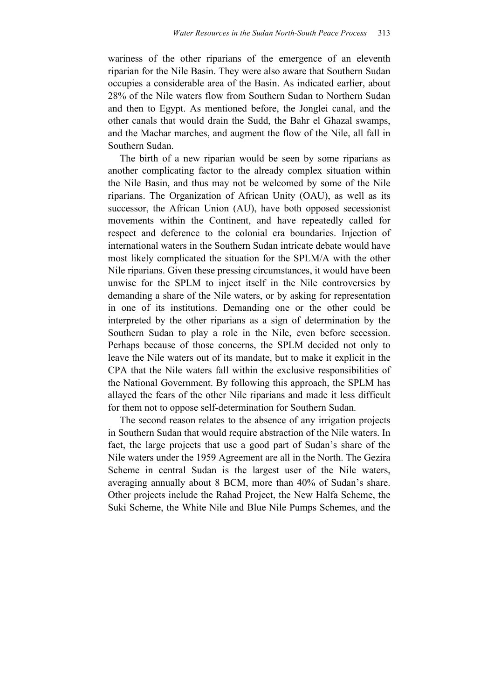wariness of the other riparians of the emergence of an eleventh riparian for the Nile Basin. They were also aware that Southern Sudan occupies a considerable area of the Basin. As indicated earlier, about 28% of the Nile waters flow from Southern Sudan to Northern Sudan and then to Egypt. As mentioned before, the Jonglei canal, and the other canals that would drain the Sudd, the Bahr el Ghazal swamps, and the Machar marches, and augment the flow of the Nile, all fall in Southern Sudan.

The birth of a new riparian would be seen by some riparians as another complicating factor to the already complex situation within the Nile Basin, and thus may not be welcomed by some of the Nile riparians. The Organization of African Unity (OAU), as well as its successor, the African Union (AU), have both opposed secessionist movements within the Continent, and have repeatedly called for respect and deference to the colonial era boundaries. Injection of international waters in the Southern Sudan intricate debate would have most likely complicated the situation for the SPLM/A with the other Nile riparians. Given these pressing circumstances, it would have been unwise for the SPLM to inject itself in the Nile controversies by demanding a share of the Nile waters, or by asking for representation in one of its institutions. Demanding one or the other could be interpreted by the other riparians as a sign of determination by the Southern Sudan to play a role in the Nile, even before secession. Perhaps because of those concerns, the SPLM decided not only to leave the Nile waters out of its mandate, but to make it explicit in the CPA that the Nile waters fall within the exclusive responsibilities of the National Government. By following this approach, the SPLM has allayed the fears of the other Nile riparians and made it less difficult for them not to oppose self-determination for Southern Sudan.

The second reason relates to the absence of any irrigation projects in Southern Sudan that would require abstraction of the Nile waters. In fact, the large projects that use a good part of Sudan's share of the Nile waters under the 1959 Agreement are all in the North. The Gezira Scheme in central Sudan is the largest user of the Nile waters, averaging annually about 8 BCM, more than 40% of Sudan's share. Other projects include the Rahad Project, the New Halfa Scheme, the Suki Scheme, the White Nile and Blue Nile Pumps Schemes, and the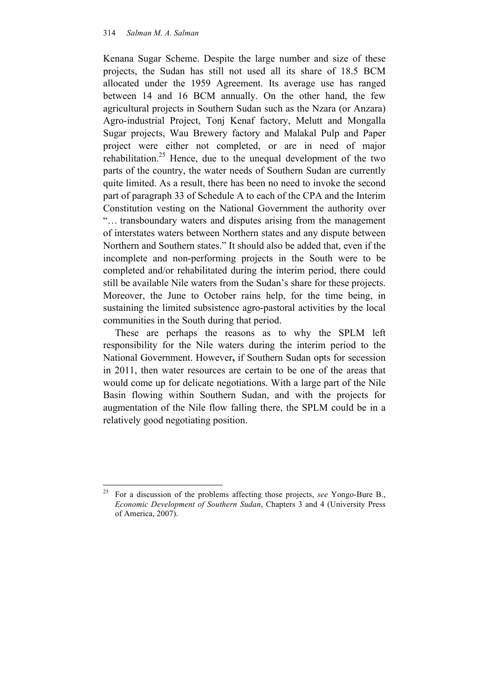Kenana Sugar Scheme. Despite the large number and size of these projects, the Sudan has still not used all its share of 18.5 BCM allocated under the 1959 Agreement. Its average use has ranged between 14 and 16 BCM annually. On the other hand, the few agricultural projects in Southern Sudan such as the Nzara (or Anzara) Agro-industrial Project, Tonj Kenaf factory, Melutt and Mongalla Sugar projects, Wau Brewery factory and Malakal Pulp and Paper project were either not completed, or are in need of major rehabilitation.<sup>25</sup> Hence, due to the unequal development of the two parts of the country, the water needs of Southern Sudan are currently quite limited. As a result, there has been no need to invoke the second part of paragraph 33 of Schedule A to each of the CPA and the Interim Constitution vesting on the National Government the authority over "… transboundary waters and disputes arising from the management of interstates waters between Northern states and any dispute between Northern and Southern states." It should also be added that, even if the incomplete and non-performing projects in the South were to be completed and/or rehabilitated during the interim period, there could still be available Nile waters from the Sudan's share for these projects. Moreover, the June to October rains help, for the time being, in sustaining the limited subsistence agro-pastoral activities by the local communities in the South during that period.

These are perhaps the reasons as to why the SPLM left responsibility for the Nile waters during the interim period to the National Government. However**,** if Southern Sudan opts for secession in 2011, then water resources are certain to be one of the areas that would come up for delicate negotiations. With a large part of the Nile Basin flowing within Southern Sudan, and with the projects for augmentation of the Nile flow falling there, the SPLM could be in a relatively good negotiating position.

 <sup>25</sup> For a discussion of the problems affecting those projects, *see* Yongo-Bure B., *Economic Development of Southern Sudan*, Chapters 3 and 4 (University Press of America, 2007).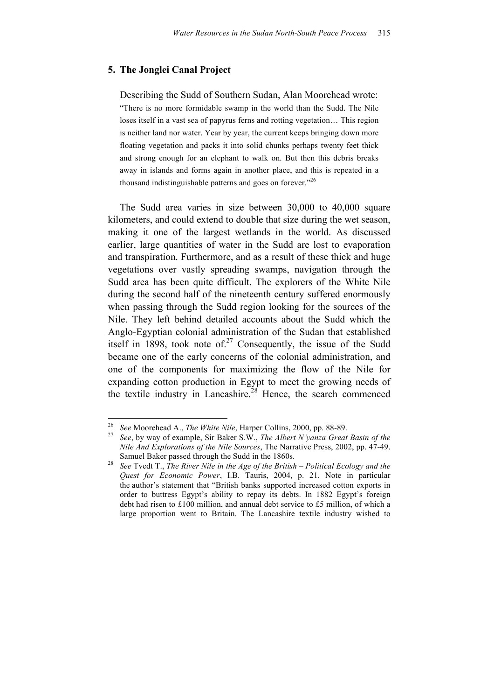#### **5. The Jonglei Canal Project**

Describing the Sudd of Southern Sudan, Alan Moorehead wrote: "There is no more formidable swamp in the world than the Sudd. The Nile loses itself in a vast sea of papyrus ferns and rotting vegetation… This region is neither land nor water. Year by year, the current keeps bringing down more floating vegetation and packs it into solid chunks perhaps twenty feet thick and strong enough for an elephant to walk on. But then this debris breaks away in islands and forms again in another place, and this is repeated in a thousand indistinguishable patterns and goes on forever."<sup>26</sup>

The Sudd area varies in size between 30,000 to 40,000 square kilometers, and could extend to double that size during the wet season, making it one of the largest wetlands in the world. As discussed earlier, large quantities of water in the Sudd are lost to evaporation and transpiration. Furthermore, and as a result of these thick and huge vegetations over vastly spreading swamps, navigation through the Sudd area has been quite difficult. The explorers of the White Nile during the second half of the nineteenth century suffered enormously when passing through the Sudd region looking for the sources of the Nile. They left behind detailed accounts about the Sudd which the Anglo-Egyptian colonial administration of the Sudan that established itself in 1898, took note of.<sup>27</sup> Consequently, the issue of the Sudd became one of the early concerns of the colonial administration, and one of the components for maximizing the flow of the Nile for expanding cotton production in Egypt to meet the growing needs of the textile industry in Lancashire.<sup>28</sup> Hence, the search commenced

<sup>26</sup> *See* Moorehead A., *The White Nile*, Harper Collins, 2000, pp. 88-89. <sup>27</sup> *See*, by way of example, Sir Baker S.W., *The Albert N'yanza Great Basin of the Nile And Explorations of the Nile Sources*, The Narrative Press, 2002, pp. 47-49.

Samuel Baker passed through the Sudd in the 1860s. <sup>28</sup> *See* Tvedt T., *The River Nile in the Age of the British – Political Ecology and the Quest for Economic Power*, I.B. Tauris, 2004, p. 21. Note in particular the author's statement that "British banks supported increased cotton exports in order to buttress Egypt's ability to repay its debts. In 1882 Egypt's foreign debt had risen to £100 million, and annual debt service to £5 million, of which a large proportion went to Britain. The Lancashire textile industry wished to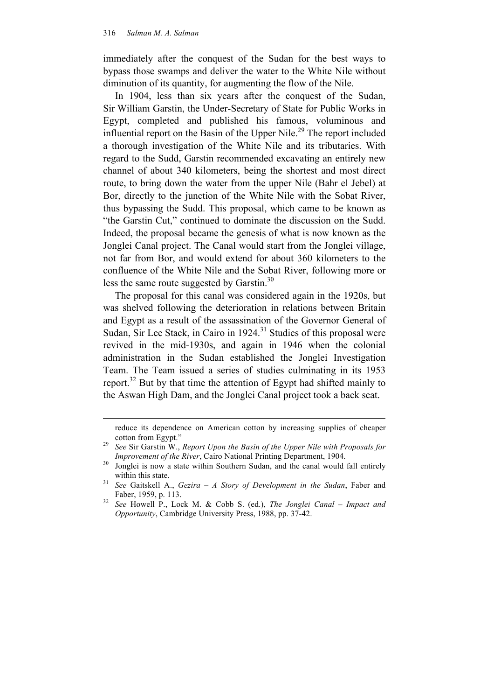$\overline{a}$ 

immediately after the conquest of the Sudan for the best ways to bypass those swamps and deliver the water to the White Nile without diminution of its quantity, for augmenting the flow of the Nile.

In 1904, less than six years after the conquest of the Sudan, Sir William Garstin, the Under-Secretary of State for Public Works in Egypt, completed and published his famous, voluminous and influential report on the Basin of the Upper Nile.<sup>29</sup> The report included a thorough investigation of the White Nile and its tributaries. With regard to the Sudd, Garstin recommended excavating an entirely new channel of about 340 kilometers, being the shortest and most direct route, to bring down the water from the upper Nile (Bahr el Jebel) at Bor, directly to the junction of the White Nile with the Sobat River, thus bypassing the Sudd. This proposal, which came to be known as "the Garstin Cut," continued to dominate the discussion on the Sudd. Indeed, the proposal became the genesis of what is now known as the Jonglei Canal project. The Canal would start from the Jonglei village, not far from Bor, and would extend for about 360 kilometers to the confluence of the White Nile and the Sobat River, following more or less the same route suggested by Garstin.<sup>30</sup>

The proposal for this canal was considered again in the 1920s, but was shelved following the deterioration in relations between Britain and Egypt as a result of the assassination of the Governor General of Sudan, Sir Lee Stack, in Cairo in  $1924<sup>31</sup>$  Studies of this proposal were revived in the mid-1930s, and again in 1946 when the colonial administration in the Sudan established the Jonglei Investigation Team. The Team issued a series of studies culminating in its 1953 report.<sup>32</sup> But by that time the attention of Egypt had shifted mainly to the Aswan High Dam, and the Jonglei Canal project took a back seat.

reduce its dependence on American cotton by increasing supplies of cheaper cotton from Egypt." 29 *See* Sir Garstin W., *Report Upon the Basin of the Upper Nile with Proposals for* 

*Improvement of the River*, Cairo National Printing Department, 1904.<br><sup>30</sup> Jonglei is now a state within Southern Sudan, and the canal would fall entirely

within this state. <sup>31</sup> *See* Gaitskell A., *Gezira – A Story of Development in the Sudan*, Faber and Faber, 1959, p. 113.<br><sup>32</sup> *See* Howell P., Lock M. & Cobb S. (ed.), *The Jonglei Canal – Impact and* 

*Opportunity*, Cambridge University Press, 1988, pp. 37-42.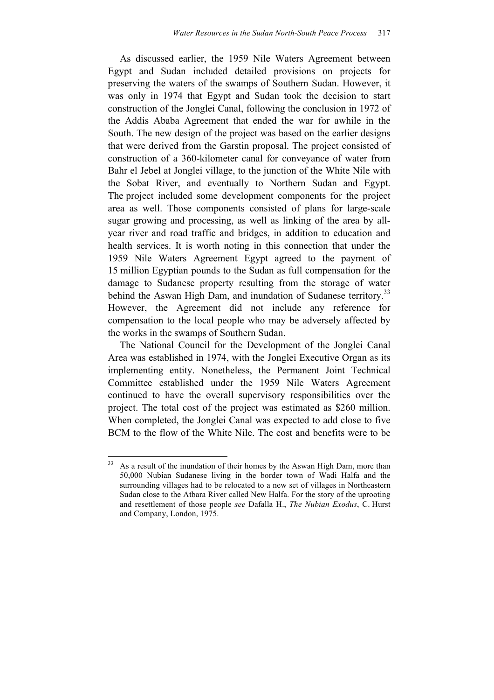As discussed earlier, the 1959 Nile Waters Agreement between Egypt and Sudan included detailed provisions on projects for preserving the waters of the swamps of Southern Sudan. However, it was only in 1974 that Egypt and Sudan took the decision to start construction of the Jonglei Canal, following the conclusion in 1972 of the Addis Ababa Agreement that ended the war for awhile in the South. The new design of the project was based on the earlier designs that were derived from the Garstin proposal. The project consisted of construction of a 360-kilometer canal for conveyance of water from Bahr el Jebel at Jonglei village, to the junction of the White Nile with the Sobat River, and eventually to Northern Sudan and Egypt. The project included some development components for the project area as well. Those components consisted of plans for large-scale sugar growing and processing, as well as linking of the area by allyear river and road traffic and bridges, in addition to education and health services. It is worth noting in this connection that under the 1959 Nile Waters Agreement Egypt agreed to the payment of 15 million Egyptian pounds to the Sudan as full compensation for the damage to Sudanese property resulting from the storage of water behind the Aswan High Dam, and inundation of Sudanese territory.<sup>33</sup> However, the Agreement did not include any reference for compensation to the local people who may be adversely affected by the works in the swamps of Southern Sudan.

The National Council for the Development of the Jonglei Canal Area was established in 1974, with the Jonglei Executive Organ as its implementing entity. Nonetheless, the Permanent Joint Technical Committee established under the 1959 Nile Waters Agreement continued to have the overall supervisory responsibilities over the project. The total cost of the project was estimated as \$260 million. When completed, the Jonglei Canal was expected to add close to five BCM to the flow of the White Nile. The cost and benefits were to be

<sup>&</sup>lt;sup>33</sup> As a result of the inundation of their homes by the Aswan High Dam, more than 50,000 Nubian Sudanese living in the border town of Wadi Halfa and the surrounding villages had to be relocated to a new set of villages in Northeastern Sudan close to the Atbara River called New Halfa. For the story of the uprooting and resettlement of those people *see* Dafalla H., *The Nubian Exodus*, C. Hurst and Company, London, 1975.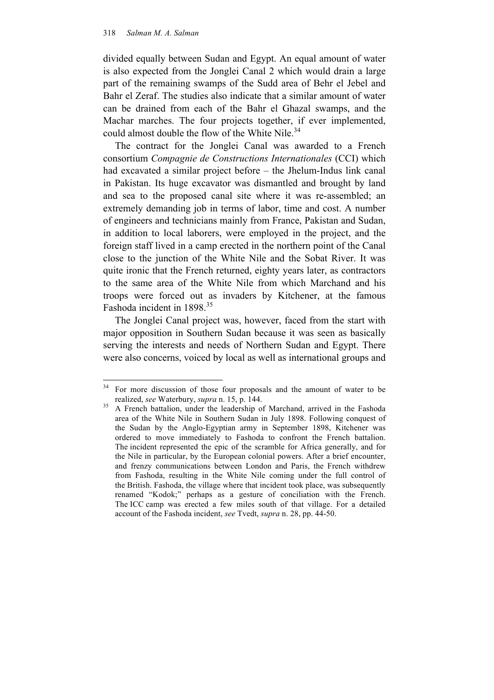divided equally between Sudan and Egypt. An equal amount of water is also expected from the Jonglei Canal 2 which would drain a large part of the remaining swamps of the Sudd area of Behr el Jebel and Bahr el Zeraf. The studies also indicate that a similar amount of water can be drained from each of the Bahr el Ghazal swamps, and the Machar marches. The four projects together, if ever implemented, could almost double the flow of the White Nile.<sup>34</sup>

The contract for the Jonglei Canal was awarded to a French consortium *Compagnie de Constructions Internationales* (CCI) which had excavated a similar project before – the Jhelum-Indus link canal in Pakistan. Its huge excavator was dismantled and brought by land and sea to the proposed canal site where it was re-assembled; an extremely demanding job in terms of labor, time and cost. A number of engineers and technicians mainly from France, Pakistan and Sudan, in addition to local laborers, were employed in the project, and the foreign staff lived in a camp erected in the northern point of the Canal close to the junction of the White Nile and the Sobat River. It was quite ironic that the French returned, eighty years later, as contractors to the same area of the White Nile from which Marchand and his troops were forced out as invaders by Kitchener, at the famous Fashoda incident in  $1898^{35}$ 

The Jonglei Canal project was, however, faced from the start with major opposition in Southern Sudan because it was seen as basically serving the interests and needs of Northern Sudan and Egypt. There were also concerns, voiced by local as well as international groups and

 <sup>34</sup> For more discussion of those four proposals and the amount of water to be

realized, *see* Waterbury, *supra* n. 15, p. 144.<br>35 A French battalion, under the leadership of Marchand, arrived in the Fashoda area of the White Nile in Southern Sudan in July 1898. Following conquest of the Sudan by the Anglo-Egyptian army in September 1898, Kitchener was ordered to move immediately to Fashoda to confront the French battalion. The incident represented the epic of the scramble for Africa generally, and for the Nile in particular, by the European colonial powers. After a brief encounter, and frenzy communications between London and Paris, the French withdrew from Fashoda, resulting in the White Nile coming under the full control of the British. Fashoda, the village where that incident took place, was subsequently renamed "Kodok;" perhaps as a gesture of conciliation with the French. The ICC camp was erected a few miles south of that village. For a detailed account of the Fashoda incident, *see* Tvedt, *supra* n. 28, pp. 44-50.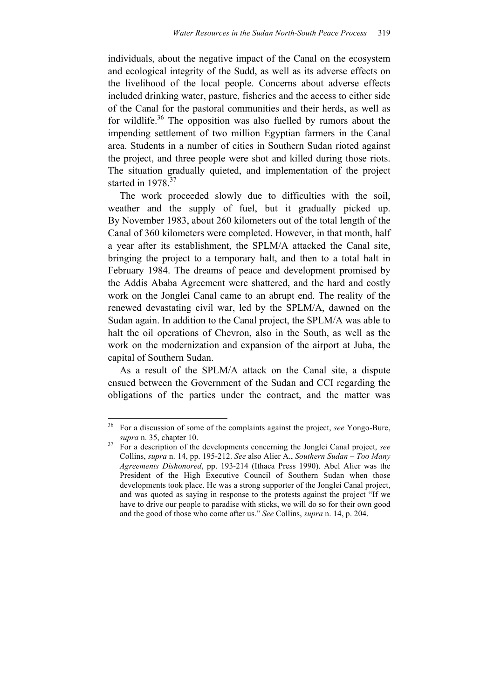individuals, about the negative impact of the Canal on the ecosystem and ecological integrity of the Sudd, as well as its adverse effects on the livelihood of the local people. Concerns about adverse effects included drinking water, pasture, fisheries and the access to either side of the Canal for the pastoral communities and their herds, as well as for wildlife.<sup>36</sup> The opposition was also fuelled by rumors about the impending settlement of two million Egyptian farmers in the Canal area. Students in a number of cities in Southern Sudan rioted against the project, and three people were shot and killed during those riots. The situation gradually quieted, and implementation of the project started in  $1978$ <sup>37</sup>

The work proceeded slowly due to difficulties with the soil, weather and the supply of fuel, but it gradually picked up. By November 1983, about 260 kilometers out of the total length of the Canal of 360 kilometers were completed. However, in that month, half a year after its establishment, the SPLM/A attacked the Canal site, bringing the project to a temporary halt, and then to a total halt in February 1984. The dreams of peace and development promised by the Addis Ababa Agreement were shattered, and the hard and costly work on the Jonglei Canal came to an abrupt end. The reality of the renewed devastating civil war, led by the SPLM/A, dawned on the Sudan again. In addition to the Canal project, the SPLM/A was able to halt the oil operations of Chevron, also in the South, as well as the work on the modernization and expansion of the airport at Juba, the capital of Southern Sudan.

As a result of the SPLM/A attack on the Canal site, a dispute ensued between the Government of the Sudan and CCI regarding the obligations of the parties under the contract, and the matter was

 <sup>36</sup> For a discussion of some of the complaints against the project, *see* Yongo-Bure,

*supra* n. 35, chapter 10. <sup>37</sup> For a description of the developments concerning the Jonglei Canal project, *see*  Collins, *supra* n. 14, pp. 195-212. *See* also Alier A., *Southern Sudan – Too Many Agreements Dishonored*, pp. 193-214 (Ithaca Press 1990). Abel Alier was the President of the High Executive Council of Southern Sudan when those developments took place. He was a strong supporter of the Jonglei Canal project, and was quoted as saying in response to the protests against the project "If we have to drive our people to paradise with sticks, we will do so for their own good and the good of those who come after us." *See* Collins, *supra* n. 14, p. 204.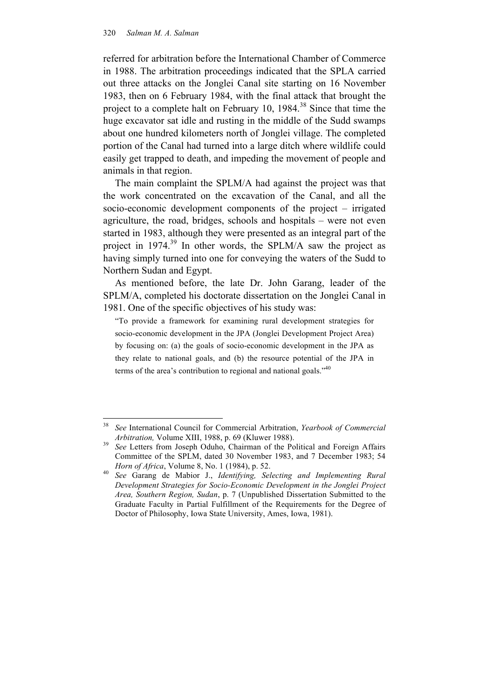referred for arbitration before the International Chamber of Commerce in 1988. The arbitration proceedings indicated that the SPLA carried out three attacks on the Jonglei Canal site starting on 16 November 1983, then on 6 February 1984, with the final attack that brought the project to a complete halt on February 10, 1984.<sup>38</sup> Since that time the huge excavator sat idle and rusting in the middle of the Sudd swamps about one hundred kilometers north of Jonglei village. The completed portion of the Canal had turned into a large ditch where wildlife could easily get trapped to death, and impeding the movement of people and animals in that region.

The main complaint the SPLM/A had against the project was that the work concentrated on the excavation of the Canal, and all the socio-economic development components of the project – irrigated agriculture, the road, bridges, schools and hospitals – were not even started in 1983, although they were presented as an integral part of the project in 1974.<sup>39</sup> In other words, the SPLM/A saw the project as having simply turned into one for conveying the waters of the Sudd to Northern Sudan and Egypt.

As mentioned before, the late Dr. John Garang, leader of the SPLM/A, completed his doctorate dissertation on the Jonglei Canal in 1981. One of the specific objectives of his study was:

"To provide a framework for examining rural development strategies for socio-economic development in the JPA (Jonglei Development Project Area) by focusing on: (a) the goals of socio-economic development in the JPA as they relate to national goals, and (b) the resource potential of the JPA in terms of the area's contribution to regional and national goals."<sup>40</sup>

 <sup>38</sup> *See* International Council for Commercial Arbitration, *Yearbook of Commercial Arbitration,* Volume XIII, 1988, p. 69 (Kluwer 1988). <sup>39</sup> *See* Letters from Joseph Oduho, Chairman of the Political and Foreign Affairs

Committee of the SPLM, dated 30 November 1983, and 7 December 1983; 54

*Horn of Africa*, Volume 8, No. 1 (1984), p. 52.<br><sup>40</sup> *See* Garang de Mabior J., *Identifying, Selecting and Implementing Rural Development Strategies for Socio-Economic Development in the Jonglei Project Area, Southern Region, Sudan*, p. 7 (Unpublished Dissertation Submitted to the Graduate Faculty in Partial Fulfillment of the Requirements for the Degree of Doctor of Philosophy, Iowa State University, Ames, Iowa, 1981).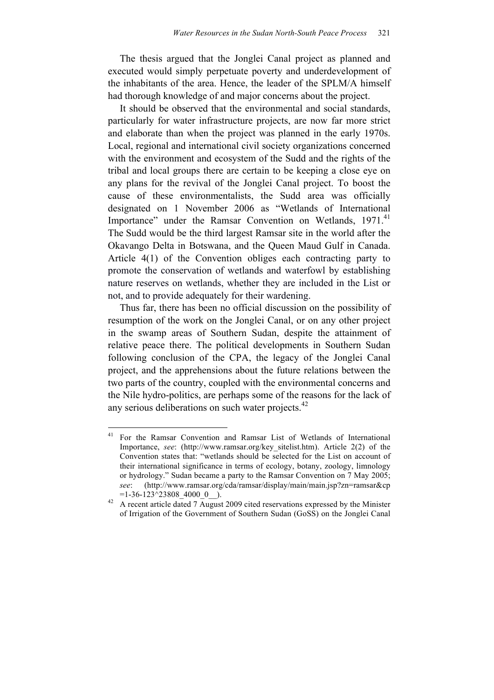The thesis argued that the Jonglei Canal project as planned and executed would simply perpetuate poverty and underdevelopment of the inhabitants of the area. Hence, the leader of the SPLM/A himself had thorough knowledge of and major concerns about the project.

It should be observed that the environmental and social standards, particularly for water infrastructure projects, are now far more strict and elaborate than when the project was planned in the early 1970s. Local, regional and international civil society organizations concerned with the environment and ecosystem of the Sudd and the rights of the tribal and local groups there are certain to be keeping a close eye on any plans for the revival of the Jonglei Canal project. To boost the cause of these environmentalists, the Sudd area was officially designated on 1 November 2006 as "Wetlands of International Importance" under the Ramsar Convention on Wetlands, 1971.<sup>41</sup> The Sudd would be the third largest Ramsar site in the world after the Okavango Delta in Botswana, and the Queen Maud Gulf in Canada. Article 4(1) of the Convention obliges each contracting party to promote the conservation of wetlands and waterfowl by establishing nature reserves on wetlands, whether they are included in the List or not, and to provide adequately for their wardening.

Thus far, there has been no official discussion on the possibility of resumption of the work on the Jonglei Canal, or on any other project in the swamp areas of Southern Sudan, despite the attainment of relative peace there. The political developments in Southern Sudan following conclusion of the CPA, the legacy of the Jonglei Canal project, and the apprehensions about the future relations between the two parts of the country, coupled with the environmental concerns and the Nile hydro-politics, are perhaps some of the reasons for the lack of any serious deliberations on such water projects.<sup>42</sup>

 <sup>41</sup> For the Ramsar Convention and Ramsar List of Wetlands of International Importance, *see*: (http://www.ramsar.org/key\_sitelist.htm). Article 2(2) of the Convention states that: "wetlands should be selected for the List on account of their international significance in terms of ecology, botany, zoology, limnology or hydrology." Sudan became a party to the Ramsar Convention on 7 May 2005; *see*: (http://www.ramsar.org/cda/ramsar/display/main/main.jsp?zn=ramsar&cp

<sup>=1-36-123^23808</sup>\_4000\_0\_).  $\frac{42}{4}$  A recent article dated 7 August 2009 cited reservations expressed by the Minister of Irrigation of the Government of Southern Sudan (GoSS) on the Jonglei Canal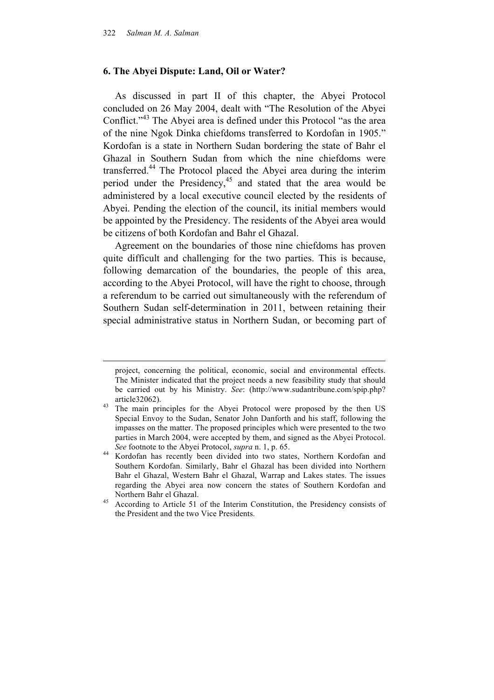### **6. The Abyei Dispute: Land, Oil or Water?**

As discussed in part II of this chapter, the Abyei Protocol concluded on 26 May 2004, dealt with "The Resolution of the Abyei Conflict."43 The Abyei area is defined under this Protocol "as the area of the nine Ngok Dinka chiefdoms transferred to Kordofan in 1905." Kordofan is a state in Northern Sudan bordering the state of Bahr el Ghazal in Southern Sudan from which the nine chiefdoms were transferred.44 The Protocol placed the Abyei area during the interim period under the Presidency, $45$  and stated that the area would be administered by a local executive council elected by the residents of Abyei. Pending the election of the council, its initial members would be appointed by the Presidency. The residents of the Abyei area would be citizens of both Kordofan and Bahr el Ghazal.

Agreement on the boundaries of those nine chiefdoms has proven quite difficult and challenging for the two parties. This is because, following demarcation of the boundaries, the people of this area, according to the Abyei Protocol, will have the right to choose, through a referendum to be carried out simultaneously with the referendum of Southern Sudan self-determination in 2011, between retaining their special administrative status in Northern Sudan, or becoming part of

project, concerning the political, economic, social and environmental effects. The Minister indicated that the project needs a new feasibility study that should be carried out by his Ministry. *See*: (http://www.sudantribune.com/spip.php? article32062).<br>The main principles for the Abyei Protocol were proposed by the then US

Special Envoy to the Sudan, Senator John Danforth and his staff, following the impasses on the matter. The proposed principles which were presented to the two parties in March 2004, were accepted by them, and signed as the Abyei Protocol.

*See* footnote to the Abyei Protocol, *supra* n. 1, p. 65.<br>Kordofan has recently been divided into two states, Northern Kordofan and Southern Kordofan. Similarly, Bahr el Ghazal has been divided into Northern Bahr el Ghazal, Western Bahr el Ghazal, Warrap and Lakes states. The issues regarding the Abyei area now concern the states of Southern Kordofan and Northern Bahr el Ghazal.<br><sup>45</sup> According to Article 51 of the Interim Constitution, the Presidency consists of

the President and the two Vice Presidents.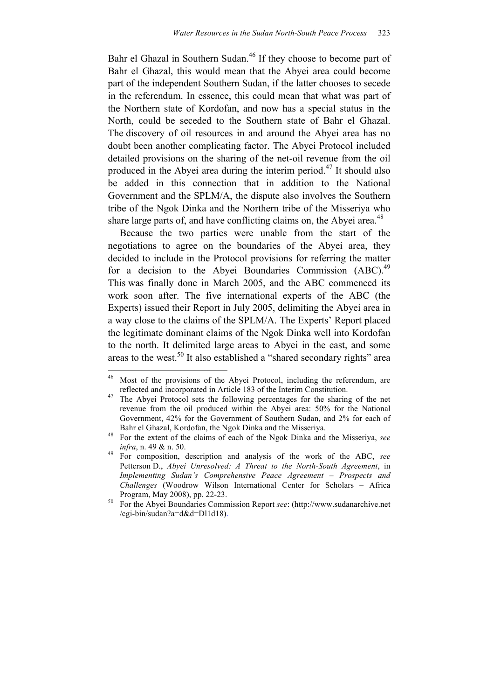Bahr el Ghazal in Southern Sudan.<sup>46</sup> If they choose to become part of Bahr el Ghazal, this would mean that the Abyei area could become part of the independent Southern Sudan, if the latter chooses to secede in the referendum. In essence, this could mean that what was part of the Northern state of Kordofan, and now has a special status in the North, could be seceded to the Southern state of Bahr el Ghazal. The discovery of oil resources in and around the Abyei area has no doubt been another complicating factor. The Abyei Protocol included detailed provisions on the sharing of the net-oil revenue from the oil produced in the Abyei area during the interim period. $47$  It should also be added in this connection that in addition to the National Government and the SPLM/A, the dispute also involves the Southern tribe of the Ngok Dinka and the Northern tribe of the Misseriya who share large parts of, and have conflicting claims on, the Abyei area.<sup>48</sup>

Because the two parties were unable from the start of the negotiations to agree on the boundaries of the Abyei area, they decided to include in the Protocol provisions for referring the matter for a decision to the Abyei Boundaries Commission  $(ABC)$ <sup>49</sup> This was finally done in March 2005, and the ABC commenced its work soon after. The five international experts of the ABC (the Experts) issued their Report in July 2005, delimiting the Abyei area in a way close to the claims of the SPLM/A. The Experts' Report placed the legitimate dominant claims of the Ngok Dinka well into Kordofan to the north. It delimited large areas to Abyei in the east, and some areas to the west.<sup>50</sup> It also established a "shared secondary rights" area

 <sup>46</sup> Most of the provisions of the Abyei Protocol, including the referendum, are

reflected and incorporated in Article 183 of the Interim Constitution.<br>The Abyei Protocol sets the following percentages for the sharing of the net revenue from the oil produced within the Abyei area: 50% for the National Government, 42% for the Government of Southern Sudan, and 2% for each of Bahr el Ghazal, Kordofan, the Ngok Dinka and the Misseriya. <sup>48</sup> For the extent of the claims of each of the Ngok Dinka and the Misseriya, *see* 

*infra*, n. 49 & n. 50.  $\frac{49}{5}$  For composition, description and analysis of the work of the ABC, *see* 

Petterson D., *Abyei Unresolved: A Threat to the North-South Agreement*, in *Implementing Sudan's Comprehensive Peace Agreement – Prospects and Challenges* (Woodrow Wilson International Center for Scholars – Africa Program, May 2008), pp. 22-23. 50 For the Abyei Boundaries Commission Report *see*: (http://www.sudanarchive.net

<sup>/</sup>cgi-bin/sudan?a=d&d=Dl1d18).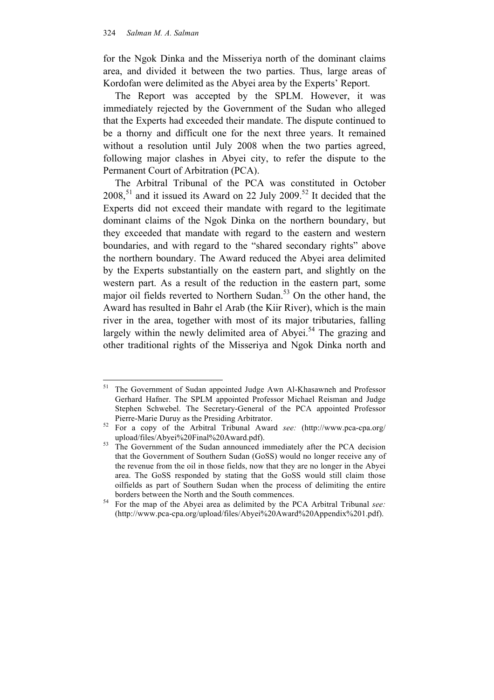for the Ngok Dinka and the Misseriya north of the dominant claims area, and divided it between the two parties. Thus, large areas of Kordofan were delimited as the Abyei area by the Experts' Report.

The Report was accepted by the SPLM. However, it was immediately rejected by the Government of the Sudan who alleged that the Experts had exceeded their mandate. The dispute continued to be a thorny and difficult one for the next three years. It remained without a resolution until July 2008 when the two parties agreed, following major clashes in Abyei city, to refer the dispute to the Permanent Court of Arbitration (PCA).

The Arbitral Tribunal of the PCA was constituted in October  $2008$ ,<sup>51</sup> and it issued its Award on 22 July 2009.<sup>52</sup> It decided that the Experts did not exceed their mandate with regard to the legitimate dominant claims of the Ngok Dinka on the northern boundary, but they exceeded that mandate with regard to the eastern and western boundaries, and with regard to the "shared secondary rights" above the northern boundary. The Award reduced the Abyei area delimited by the Experts substantially on the eastern part, and slightly on the western part. As a result of the reduction in the eastern part, some major oil fields reverted to Northern Sudan.<sup>53</sup> On the other hand, the Award has resulted in Bahr el Arab (the Kiir River), which is the main river in the area, together with most of its major tributaries, falling largely within the newly delimited area of Abyei.<sup>54</sup> The grazing and other traditional rights of the Misseriya and Ngok Dinka north and

 <sup>51</sup> The Government of Sudan appointed Judge Awn Al-Khasawneh and Professor Gerhard Hafner. The SPLM appointed Professor Michael Reisman and Judge Stephen Schwebel. The Secretary-General of the PCA appointed Professor

Pierre-Marie Duruy as the Presiding Arbitrator. <sup>52</sup> For a copy of the Arbitral Tribunal Award *see:* (http://www.pca-cpa.org/

upload/files/Abyei%20Final%20Award.pdf). <sup>53</sup> The Government of the Sudan announced immediately after the PCA decision that the Government of Southern Sudan (GoSS) would no longer receive any of the revenue from the oil in those fields, now that they are no longer in the Abyei area. The GoSS responded by stating that the GoSS would still claim those oilfields as part of Southern Sudan when the process of delimiting the entire

borders between the North and the South commences. <sup>54</sup> For the map of the Abyei area as delimited by the PCA Arbitral Tribunal *see:* (http://www.pca-cpa.org/upload/files/Abyei%20Award%20Appendix%201.pdf).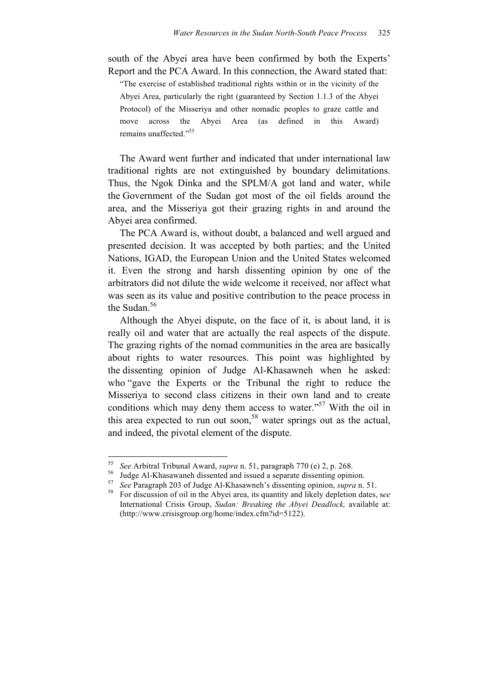south of the Abyei area have been confirmed by both the Experts' Report and the PCA Award. In this connection, the Award stated that:

"The exercise of established traditional rights within or in the vicinity of the Abyei Area, particularly the right (guaranteed by Section 1.1.3 of the Abyei Protocol) of the Misseriya and other nomadic peoples to graze cattle and move across the Abyei Area (as defined in this Award) remains unaffected."<sup>55</sup>

The Award went further and indicated that under international law traditional rights are not extinguished by boundary delimitations. Thus, the Ngok Dinka and the SPLM/A got land and water, while the Government of the Sudan got most of the oil fields around the area, and the Misseriya got their grazing rights in and around the Abyei area confirmed.

The PCA Award is, without doubt, a balanced and well argued and presented decision. It was accepted by both parties; and the United Nations, IGAD, the European Union and the United States welcomed it. Even the strong and harsh dissenting opinion by one of the arbitrators did not dilute the wide welcome it received, nor affect what was seen as its value and positive contribution to the peace process in the Sudan<sup>56</sup>

Although the Abyei dispute, on the face of it, is about land, it is really oil and water that are actually the real aspects of the dispute. The grazing rights of the nomad communities in the area are basically about rights to water resources. This point was highlighted by the dissenting opinion of Judge Al-Khasawneh when he asked: who "gave the Experts or the Tribunal the right to reduce the Misseriya to second class citizens in their own land and to create conditions which may deny them access to water."<sup>57</sup> With the oil in this area expected to run out soon,<sup>58</sup> water springs out as the actual, and indeed, the pivotal element of the dispute.

<sup>&</sup>lt;sup>55</sup> See Arbitral Tribunal Award, *supra* n. 51, paragraph 770 (e) 2, p. 268.<br><sup>56</sup> Judge Al-Khasawaneh dissented and issued a separate dissenting opinion.<br><sup>57</sup> See Paragraph 203 of Judge Al-Khasawneh's dissenting opinion, International Crisis Group, *Sudan: Breaking the Abyei Deadlock,* available at: (http://www.crisisgroup.org/home/index.cfm?id=5122).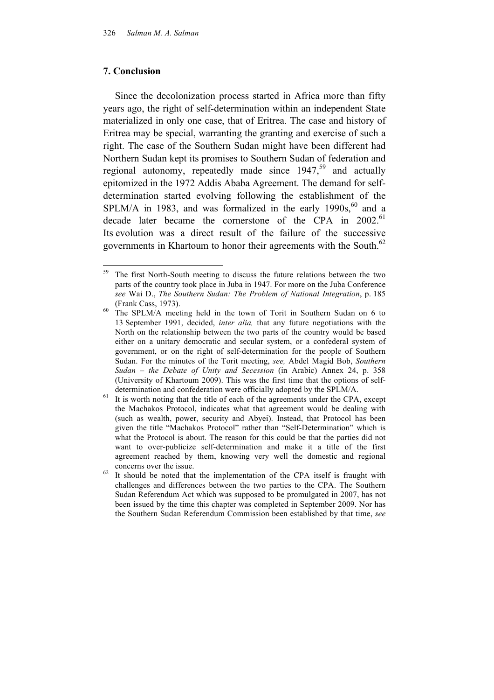# **7. Conclusion**

Since the decolonization process started in Africa more than fifty years ago, the right of self-determination within an independent State materialized in only one case, that of Eritrea. The case and history of Eritrea may be special, warranting the granting and exercise of such a right. The case of the Southern Sudan might have been different had Northern Sudan kept its promises to Southern Sudan of federation and regional autonomy, repeatedly made since  $1947$ ,<sup>59</sup> and actually epitomized in the 1972 Addis Ababa Agreement. The demand for selfdetermination started evolving following the establishment of the SPLM/A in 1983, and was formalized in the early 1990s,  $60$  and a decade later became the cornerstone of the CPA in  $2002$ .<sup>61</sup> Its evolution was a direct result of the failure of the successive governments in Khartoum to honor their agreements with the South.<sup>62</sup>

<sup>&</sup>lt;sup>59</sup> The first North-South meeting to discuss the future relations between the two parts of the country took place in Juba in 1947. For more on the Juba Conference *see* Wai D., *The Southern Sudan: The Problem of National Integration*, p. 185 (Frank Cass, 1973).<br>The SPLM/A meeting held in the town of Torit in Southern Sudan on 6 to

<sup>13</sup> September 1991, decided, *inter alia,* that any future negotiations with the North on the relationship between the two parts of the country would be based either on a unitary democratic and secular system, or a confederal system of government, or on the right of self-determination for the people of Southern Sudan. For the minutes of the Torit meeting, *see,* Abdel Magid Bob, *Southern Sudan – the Debate of Unity and Secession* (in Arabic) Annex 24, p. 358 (University of Khartoum 2009). This was the first time that the options of self-

determination and confederation were officially adopted by the SPLM/A. It is worth noting that the title of each of the agreements under the CPA, except the Machakos Protocol, indicates what that agreement would be dealing with (such as wealth, power, security and Abyei). Instead, that Protocol has been given the title "Machakos Protocol" rather than "Self-Determination" which is what the Protocol is about. The reason for this could be that the parties did not want to over-publicize self-determination and make it a title of the first agreement reached by them, knowing very well the domestic and regional concerns over the issue.<br><sup>62</sup> It should be noted that the implementation of the CPA itself is fraught with

challenges and differences between the two parties to the CPA. The Southern Sudan Referendum Act which was supposed to be promulgated in 2007, has not been issued by the time this chapter was completed in September 2009. Nor has the Southern Sudan Referendum Commission been established by that time, *see*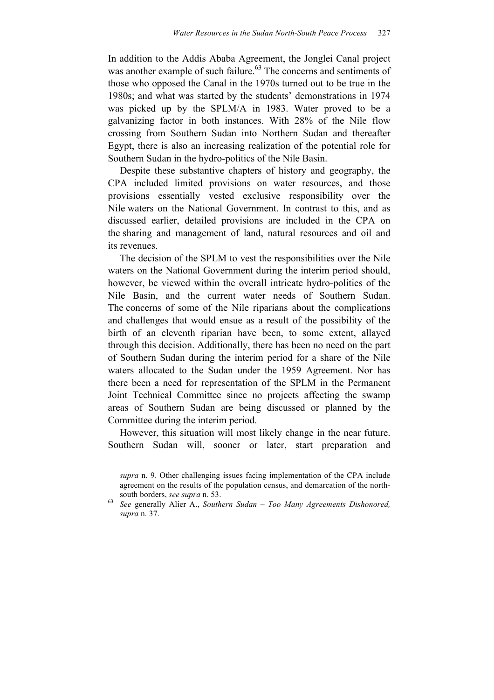In addition to the Addis Ababa Agreement, the Jonglei Canal project was another example of such failure.<sup> $63$ </sup> The concerns and sentiments of those who opposed the Canal in the 1970s turned out to be true in the 1980s; and what was started by the students' demonstrations in 1974 was picked up by the SPLM/A in 1983. Water proved to be a galvanizing factor in both instances. With 28% of the Nile flow crossing from Southern Sudan into Northern Sudan and thereafter Egypt, there is also an increasing realization of the potential role for Southern Sudan in the hydro-politics of the Nile Basin.

Despite these substantive chapters of history and geography, the CPA included limited provisions on water resources, and those provisions essentially vested exclusive responsibility over the Nile waters on the National Government. In contrast to this, and as discussed earlier, detailed provisions are included in the CPA on the sharing and management of land, natural resources and oil and its revenues.

The decision of the SPLM to vest the responsibilities over the Nile waters on the National Government during the interim period should, however, be viewed within the overall intricate hydro-politics of the Nile Basin, and the current water needs of Southern Sudan. The concerns of some of the Nile riparians about the complications and challenges that would ensue as a result of the possibility of the birth of an eleventh riparian have been, to some extent, allayed through this decision. Additionally, there has been no need on the part of Southern Sudan during the interim period for a share of the Nile waters allocated to the Sudan under the 1959 Agreement. Nor has there been a need for representation of the SPLM in the Permanent Joint Technical Committee since no projects affecting the swamp areas of Southern Sudan are being discussed or planned by the Committee during the interim period.

However, this situation will most likely change in the near future. Southern Sudan will, sooner or later, start preparation and

 $\overline{a}$ 

*supra* n. 9. Other challenging issues facing implementation of the CPA include agreement on the results of the population census, and demarcation of the north-

south borders, *see supra* n. 53. <sup>63</sup> *See* generally Alier A., *Southern Sudan – Too Many Agreements Dishonored, supra* n. 37.